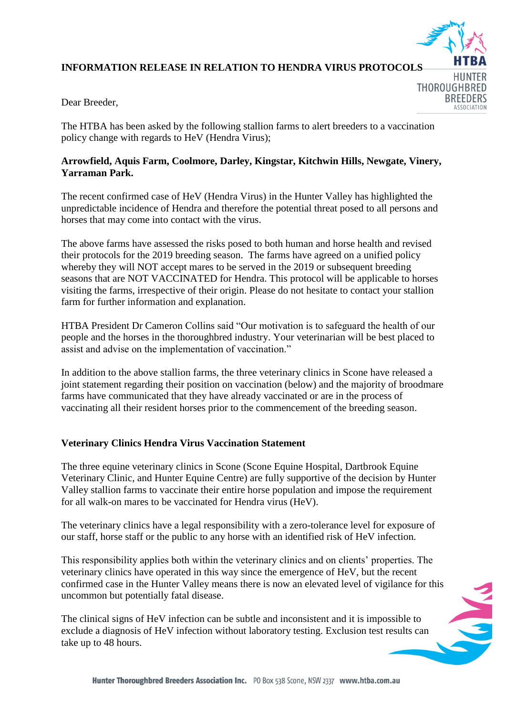

**BREEDERS** 

# **INFORMATION RELEASE IN RELATION TO HENDRA VIRUS PROTOCOLS**

Dear Breeder,

The HTBA has been asked by the following stallion farms to alert breeders to a vaccination policy change with regards to HeV (Hendra Virus);

## **Arrowfield, Aquis Farm, Coolmore, Darley, Kingstar, Kitchwin Hills, Newgate, Vinery, Yarraman Park.**

The recent confirmed case of HeV (Hendra Virus) in the Hunter Valley has highlighted the unpredictable incidence of Hendra and therefore the potential threat posed to all persons and horses that may come into contact with the virus.

The above farms have assessed the risks posed to both human and horse health and revised their protocols for the 2019 breeding season. The farms have agreed on a unified policy whereby they will NOT accept mares to be served in the 2019 or subsequent breeding seasons that are NOT VACCINATED for Hendra. This protocol will be applicable to horses visiting the farms, irrespective of their origin. Please do not hesitate to contact your stallion farm for further information and explanation.

HTBA President Dr Cameron Collins said "Our motivation is to safeguard the health of our people and the horses in the thoroughbred industry. Your veterinarian will be best placed to assist and advise on the implementation of vaccination."

In addition to the above stallion farms, the three veterinary clinics in Scone have released a joint statement regarding their position on vaccination (below) and the majority of broodmare farms have communicated that they have already vaccinated or are in the process of vaccinating all their resident horses prior to the commencement of the breeding season.

# **Veterinary Clinics Hendra Virus Vaccination Statement**

The three equine veterinary clinics in Scone (Scone Equine Hospital, Dartbrook Equine Veterinary Clinic, and Hunter Equine Centre) are fully supportive of the decision by Hunter Valley stallion farms to vaccinate their entire horse population and impose the requirement for all walk-on mares to be vaccinated for Hendra virus (HeV).

The veterinary clinics have a legal responsibility with a zero-tolerance level for exposure of our staff, horse staff or the public to any horse with an identified risk of HeV infection.

This responsibility applies both within the veterinary clinics and on clients' properties. The veterinary clinics have operated in this way since the emergence of HeV, but the recent confirmed case in the Hunter Valley means there is now an elevated level of vigilance for this uncommon but potentially fatal disease.

The clinical signs of HeV infection can be subtle and inconsistent and it is impossible to exclude a diagnosis of HeV infection without laboratory testing. Exclusion test results can take up to 48 hours.

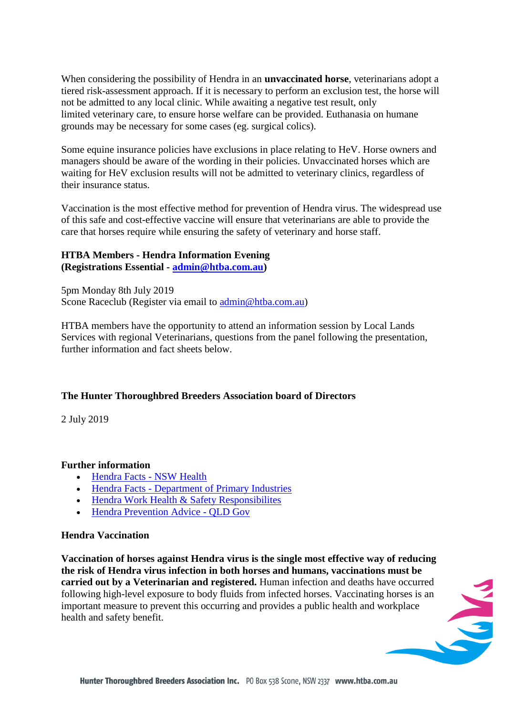When considering the possibility of Hendra in an **unvaccinated horse**, veterinarians adopt a tiered risk-assessment approach. If it is necessary to perform an exclusion test, the horse will not be admitted to any local clinic. While awaiting a negative test result, only limited veterinary care, to ensure horse welfare can be provided. Euthanasia on humane grounds may be necessary for some cases (eg. surgical colics).

Some equine insurance policies have exclusions in place relating to HeV. Horse owners and managers should be aware of the wording in their policies. Unvaccinated horses which are waiting for HeV exclusion results will not be admitted to veterinary clinics, regardless of their insurance status.

Vaccination is the most effective method for prevention of Hendra virus. The widespread use of this safe and cost-effective vaccine will ensure that veterinarians are able to provide the care that horses require while ensuring the safety of veterinary and horse staff.

#### **HTBA Members - Hendra Information Evening (Registrations Essential - [admin@htba.com.au\)](mailto:admin@htba.com.au?subject=Hendra%20Information%20Evening%20-%20register%20to%20attend&body=Dear%20HTBA%2C%0A%0AWe%20wish%20to%20attend%20the%20Hendra%20Information%20Evening%2C%20we%20will%20be%20sending%20the%20following%20attendees%3B%0A%0AAttendees%20name%2Fs%3A%0A%0AStud%20name%3A%0A%0AContact%20phone%3A%0A%0A)**

5pm Monday 8th July 2019 Scone Raceclub (Register via email to [admin@htba.com.au\)](mailto:admin@htba.com.au?subject=Hendra%20Information%20Evening%20-%20Registration%20to%20attend&body=Dear%20HTBA%2C%0A%0AWe%20wish%20to%20attend%20the%20information%20evening%20on%20Hendra%3B%0A%0AAttendees%20name%2Fs%3A%0A%0A%0AStud%20name%3A%0A%0A%0AContact%20phone%3A)

HTBA members have the opportunity to attend an information session by Local Lands Services with regional Veterinarians, questions from the panel following the presentation, further information and fact sheets below.

## **The Hunter Thoroughbred Breeders Association board of Directors**

2 July 2019

## **Further information**

- [Hendra Facts](https://gallery.mailchimp.com/21165ca43751d01275f856a32/files/e522c484-c248-4679-8963-e660650cba82/hendra.pdf) [NSW Health](https://gallery.mailchimp.com/21165ca43751d01275f856a32/files/e522c484-c248-4679-8963-e660650cba82/hendra.pdf)
- Hendra Facts [Department of Primary Industries](https://gallery.mailchimp.com/21165ca43751d01275f856a32/files/2e9a8187-1786-47fe-a7c0-007406c898d9/Hendra_Virus_Primefact_970_1.pdf)
- [Hendra Work Health & Safety](https://gallery.mailchimp.com/21165ca43751d01275f856a32/files/d7a5453a-8f43-4156-b8e3-b869a0792ab6/hendra_work_health_and_safety_responsibilities.pdf) [Responsibilites](https://gallery.mailchimp.com/21165ca43751d01275f856a32/files/d7a5453a-8f43-4156-b8e3-b869a0792ab6/hendra_work_health_and_safety_responsibilities.pdf)
- [Hendra Prevention Advice -](https://gallery.mailchimp.com/21165ca43751d01275f856a32/files/42ee4eec-f3ef-4b32-a597-e3520f5911d5/hev_inf_prev_adv.pdf) OLD Gov

## **Hendra Vaccination**

**Vaccination of horses against Hendra virus is the single most effective way of reducing the risk of Hendra virus infection in both horses and humans, vaccinations must be carried out by a Veterinarian and registered.** Human infection and deaths have occurred following high-level exposure to body fluids from infected horses. Vaccinating horses is an important measure to prevent this occurring and provides a public health and workplace health and safety benefit.